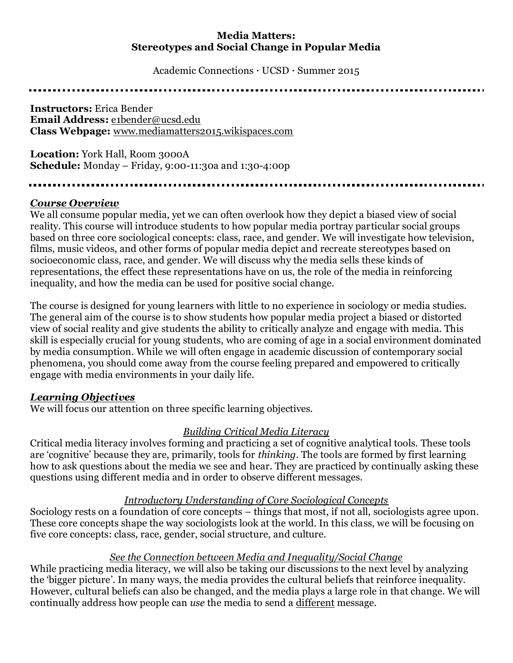## **Media Matters: Stereotypes and Social Change in Popular Media**

Academic Connections · UCSD · Summer 2015

**Instructors:** Erica Bender **Email Address:** [e1bender@ucsd.edu](mailto:e1bender@ucsd.edu) **Class Webpage:** [www.mediamatters2015.wikispaces.com](http://www.mediamatters2015.wikispaces.com/)

**Location:** York Hall, Room 3000A **Schedule:** Monday – Friday, 9:00-11:30a and 1:30-4:00p

#### 

#### *Course Overview*

We all consume popular media, yet we can often overlook how they depict a biased view of social reality. This course will introduce students to how popular media portray particular social groups based on three core sociological concepts: class, race, and gender. We will investigate how television, films, music videos, and other forms of popular media depict and recreate stereotypes based on socioeconomic class, race, and gender. We will discuss why the media sells these kinds of representations, the effect these representations have on us, the role of the media in reinforcing inequality, and how the media can be used for positive social change.

The course is designed for young learners with little to no experience in sociology or media studies. The general aim of the course is to show students how popular media project a biased or distorted view of social reality and give students the ability to critically analyze and engage with media. This skill is especially crucial for young students, who are coming of age in a social environment dominated by media consumption. While we will often engage in academic discussion of contemporary social phenomena, you should come away from the course feeling prepared and empowered to critically engage with media environments in your daily life.

## *Learning Objectives*

We will focus our attention on three specific learning objectives.

## *Building Critical Media Literacy*

Critical media literacy involves forming and practicing a set of cognitive analytical tools. These tools are 'cognitive' because they are, primarily, tools for *thinking*. The tools are formed by first learning how to ask questions about the media we see and hear. They are practiced by continually asking these questions using different media and in order to observe different messages.

## *Introductory Understanding of Core Sociological Concepts*

Sociology rests on a foundation of core concepts – things that most, if not all, sociologists agree upon. These core concepts shape the way sociologists look at the world. In this class, we will be focusing on five core concepts: class, race, gender, social structure, and culture.

#### *See the Connection between Media and Inequality/Social Change*

While practicing media literacy, we will also be taking our discussions to the next level by analyzing the 'bigger picture'. In many ways, the media provides the cultural beliefs that reinforce inequality. However, cultural beliefs can also be changed, and the media plays a large role in that change. We will continually address how people can *use* the media to send a different message.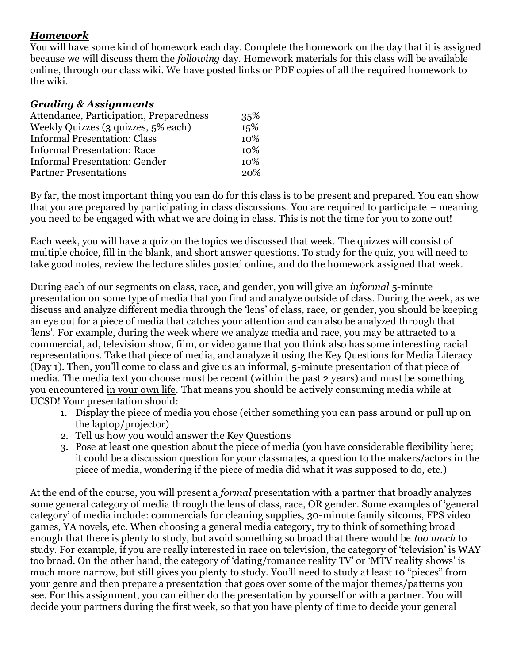# *Homework*

You will have some kind of homework each day. Complete the homework on the day that it is assigned because we will discuss them the *following* day. Homework materials for this class will be available online, through our class wiki. We have posted links or PDF copies of all the required homework to the wiki.

## *Grading & Assignments*

| Attendance, Participation, Preparedness | 35%        |
|-----------------------------------------|------------|
| Weekly Quizzes (3 quizzes, 5% each)     | 15%        |
| <b>Informal Presentation: Class</b>     | 10%        |
| <b>Informal Presentation: Race</b>      | 10%        |
| <b>Informal Presentation: Gender</b>    | 10%        |
| <b>Partner Presentations</b>            | <b>20%</b> |

By far, the most important thing you can do for this class is to be present and prepared. You can show that you are prepared by participating in class discussions. You are required to participate – meaning you need to be engaged with what we are doing in class. This is not the time for you to zone out!

Each week, you will have a quiz on the topics we discussed that week. The quizzes will consist of multiple choice, fill in the blank, and short answer questions. To study for the quiz, you will need to take good notes, review the lecture slides posted online, and do the homework assigned that week.

During each of our segments on class, race, and gender, you will give an *informal* 5-minute presentation on some type of media that you find and analyze outside of class. During the week, as we discuss and analyze different media through the 'lens' of class, race, or gender, you should be keeping an eye out for a piece of media that catches your attention and can also be analyzed through that 'lens'. For example, during the week where we analyze media and race, you may be attracted to a commercial, ad, television show, film, or video game that you think also has some interesting racial representations. Take that piece of media, and analyze it using the Key Questions for Media Literacy (Day 1). Then, you'll come to class and give us an informal, 5-minute presentation of that piece of media. The media text you choose must be recent (within the past 2 years) and must be something you encountered in your own life. That means you should be actively consuming media while at UCSD! Your presentation should:

- 1. Display the piece of media you chose (either something you can pass around or pull up on the laptop/projector)
- 2. Tell us how you would answer the Key Questions
- 3. Pose at least one question about the piece of media (you have considerable flexibility here; it could be a discussion question for your classmates, a question to the makers/actors in the piece of media, wondering if the piece of media did what it was supposed to do, etc.)

At the end of the course, you will present a *formal* presentation with a partner that broadly analyzes some general category of media through the lens of class, race, OR gender. Some examples of 'general category' of media include: commercials for cleaning supplies, 30-minute family sitcoms, FPS video games, YA novels, etc. When choosing a general media category, try to think of something broad enough that there is plenty to study, but avoid something so broad that there would be *too much* to study. For example, if you are really interested in race on television, the category of 'television' is WAY too broad. On the other hand, the category of 'dating/romance reality TV' or 'MTV reality shows' is much more narrow, but still gives you plenty to study. You'll need to study at least 10 "pieces" from your genre and then prepare a presentation that goes over some of the major themes/patterns you see. For this assignment, you can either do the presentation by yourself or with a partner. You will decide your partners during the first week, so that you have plenty of time to decide your general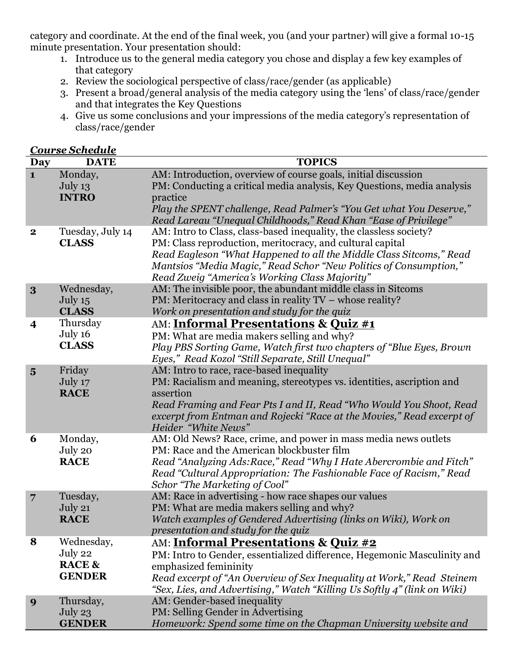category and coordinate. At the end of the final week, you (and your partner) will give a formal 10-15 minute presentation. Your presentation should:

- 1. Introduce us to the general media category you chose and display a few key examples of that category
- 2. Review the sociological perspective of class/race/gender (as applicable)

*Course Schedule*

- 3. Present a broad/general analysis of the media category using the 'lens' of class/race/gender and that integrates the Key Questions
- 4. Give us some conclusions and your impressions of the media category's representation of class/race/gender

| <b>Day</b>              | <b>DATE</b>       | <b>TOPICS</b>                                                            |
|-------------------------|-------------------|--------------------------------------------------------------------------|
| $\mathbf{1}$            | Monday,           | AM: Introduction, overview of course goals, initial discussion           |
|                         | July 13           | PM: Conducting a critical media analysis, Key Questions, media analysis  |
|                         | <b>INTRO</b>      | practice                                                                 |
|                         |                   | Play the SPENT challenge, Read Palmer's "You Get what You Deserve,"      |
|                         |                   | Read Lareau "Unequal Childhoods," Read Khan "Ease of Privilege"          |
| $\mathbf 2$             | Tuesday, July 14  | AM: Intro to Class, class-based inequality, the classless society?       |
|                         | <b>CLASS</b>      | PM: Class reproduction, meritocracy, and cultural capital                |
|                         |                   | Read Eagleson "What Happened to all the Middle Class Sitcoms," Read      |
|                         |                   | Mantsios "Media Magic," Read Schor "New Politics of Consumption,"        |
|                         |                   | Read Zweig "America's Working Class Majority"                            |
| 3                       | Wednesday,        | AM: The invisible poor, the abundant middle class in Sitcoms             |
|                         | July $15$         | PM: Meritocracy and class in reality TV – whose reality?                 |
|                         | <b>CLASS</b>      | Work on presentation and study for the quiz                              |
| $\overline{\mathbf{4}}$ | Thursday          | AM: <b>Informal Presentations &amp; Quiz #1</b>                          |
|                         | July 16           | PM: What are media makers selling and why?                               |
|                         | <b>CLASS</b>      | Play PBS Sorting Game, Watch first two chapters of "Blue Eyes, Brown     |
|                         |                   | Eyes," Read Kozol "Still Separate, Still Unequal"                        |
| $5\overline{)}$         | Friday            | AM: Intro to race, race-based inequality                                 |
|                         | July 17           | PM: Racialism and meaning, stereotypes vs. identities, ascription and    |
|                         | <b>RACE</b>       | assertion                                                                |
|                         |                   | Read Framing and Fear Pts I and II, Read "Who Would You Shoot, Read      |
|                         |                   | excerpt from Entman and Rojecki "Race at the Movies," Read excerpt of    |
|                         |                   | Heider "White News"                                                      |
| 6                       | Monday,           | AM: Old News? Race, crime, and power in mass media news outlets          |
|                         | July 20           | PM: Race and the American blockbuster film                               |
|                         | <b>RACE</b>       | Read "Analyzing Ads: Race," Read "Why I Hate Abercrombie and Fitch"      |
|                         |                   | Read "Cultural Appropriation: The Fashionable Face of Racism," Read      |
|                         |                   | Schor "The Marketing of Cool"                                            |
| $\overline{7}$          | Tuesday,          | AM: Race in advertising - how race shapes our values                     |
|                         | July 21           | PM: What are media makers selling and why?                               |
|                         | <b>RACE</b>       | Watch examples of Gendered Advertising (links on Wiki), Work on          |
|                         |                   | presentation and study for the quiz                                      |
| 8                       | Wednesday,        | AM: <b>Informal Presentations &amp; Quiz #2</b>                          |
|                         | July 22           | PM: Intro to Gender, essentialized difference, Hegemonic Masculinity and |
|                         | <b>RACE &amp;</b> | emphasized femininity                                                    |
|                         | <b>GENDER</b>     | Read excerpt of "An Overview of Sex Inequality at Work," Read Steinem    |
|                         |                   | "Sex, Lies, and Advertising," Watch "Killing Us Softly 4" (link on Wiki) |
| 9                       | Thursday,         | AM: Gender-based inequality                                              |
|                         | July $23$         | PM: Selling Gender in Advertising                                        |
|                         | <b>GENDER</b>     | Homework: Spend some time on the Chapman University website and          |